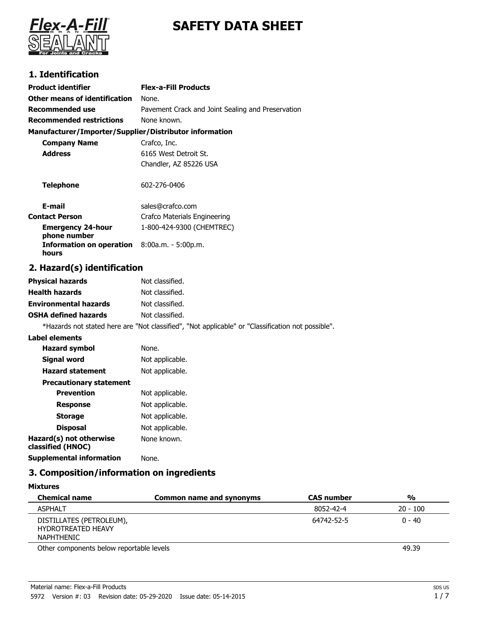



## **1. Identification**

| <b>Product identifier</b>                              | <b>Flex-a-Fill Products</b>                                                                       |
|--------------------------------------------------------|---------------------------------------------------------------------------------------------------|
| <b>Other means of identification</b>                   | None.                                                                                             |
| <b>Recommended use</b>                                 | Pavement Crack and Joint Sealing and Preservation                                                 |
| <b>Recommended restrictions</b>                        | None known.                                                                                       |
| Manufacturer/Importer/Supplier/Distributor information |                                                                                                   |
| <b>Company Name</b>                                    | Crafco, Inc.                                                                                      |
| <b>Address</b>                                         | 6165 West Detroit St.                                                                             |
|                                                        | Chandler, AZ 85226 USA                                                                            |
| <b>Telephone</b>                                       | 602-276-0406                                                                                      |
| E-mail                                                 | sales@crafco.com                                                                                  |
| <b>Contact Person</b>                                  | Crafco Materials Engineering                                                                      |
| <b>Emergency 24-hour</b><br>phone number               | 1-800-424-9300 (CHEMTREC)                                                                         |
| <b>Information on operation</b><br>hours               | 8:00a.m. - 5:00p.m.                                                                               |
| 2. Hazard(s) identification                            |                                                                                                   |
| <b>Physical hazards</b>                                | Not classified.                                                                                   |
| <b>Health hazards</b>                                  | Not classified.                                                                                   |
| <b>Environmental hazards</b>                           | Not classified.                                                                                   |
| <b>OSHA defined hazards</b>                            | Not classified.                                                                                   |
|                                                        | *Hazards not stated here are "Not classified", "Not applicable" or "Classification not possible". |
| <b>Label elements</b>                                  |                                                                                                   |
| <b>Hazard symbol</b>                                   | None.                                                                                             |
| <b>Signal word</b>                                     | Not applicable.                                                                                   |
| <b>Hazard statement</b>                                | Not applicable.                                                                                   |
| <b>Precautionary statement</b>                         |                                                                                                   |
| <b>Prevention</b>                                      | Not applicable.                                                                                   |
| <b>Response</b>                                        | Not applicable.                                                                                   |
| <b>Storage</b>                                         | Not applicable.                                                                                   |
| <b>Disposal</b>                                        | Not applicable.                                                                                   |
| Hazard(s) not otherwise<br>classified (HNOC)           | None known.                                                                                       |
| <b>Supplemental information</b>                        | None.                                                                                             |

# **3. Composition/information on ingredients**

| <b>Mixtures</b>                                                     |                          |                   |            |
|---------------------------------------------------------------------|--------------------------|-------------------|------------|
| <b>Chemical name</b>                                                | Common name and synonyms | <b>CAS number</b> | %          |
| <b>ASPHALT</b>                                                      |                          | 8052-42-4         | $20 - 100$ |
| DISTILLATES (PETROLEUM),<br><b>HYDROTREATED HEAVY</b><br>NAPHTHENIC |                          | 64742-52-5        | $0 - 40$   |
| Other components below reportable levels                            |                          |                   | 49.39      |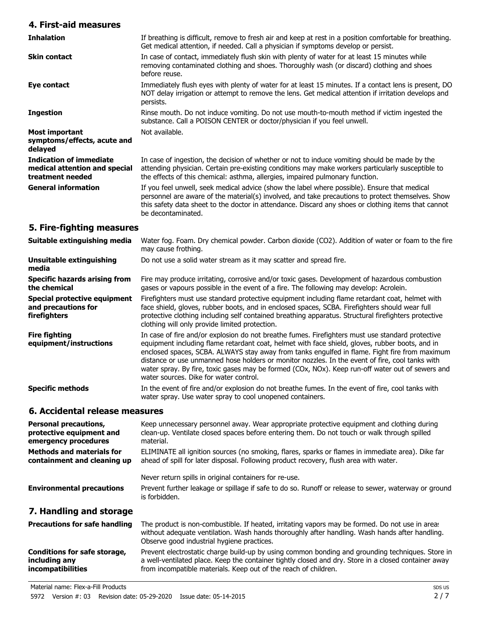### **4. First-aid measures**

| <b>Inhalation</b>                                                                   | If breathing is difficult, remove to fresh air and keep at rest in a position comfortable for breathing.<br>Get medical attention, if needed. Call a physician if symptoms develop or persist.                                                                                                                                 |
|-------------------------------------------------------------------------------------|--------------------------------------------------------------------------------------------------------------------------------------------------------------------------------------------------------------------------------------------------------------------------------------------------------------------------------|
| <b>Skin contact</b>                                                                 | In case of contact, immediately flush skin with plenty of water for at least 15 minutes while<br>removing contaminated clothing and shoes. Thoroughly wash (or discard) clothing and shoes<br>before reuse.                                                                                                                    |
| Eye contact                                                                         | Immediately flush eyes with plenty of water for at least 15 minutes. If a contact lens is present, DO<br>NOT delay irrigation or attempt to remove the lens. Get medical attention if irritation develops and<br>persists.                                                                                                     |
| <b>Ingestion</b>                                                                    | Rinse mouth. Do not induce vomiting. Do not use mouth-to-mouth method if victim ingested the<br>substance. Call a POISON CENTER or doctor/physician if you feel unwell.                                                                                                                                                        |
| Most important<br>symptoms/effects, acute and<br>delayed                            | Not available.                                                                                                                                                                                                                                                                                                                 |
| <b>Indication of immediate</b><br>medical attention and special<br>treatment needed | In case of ingestion, the decision of whether or not to induce vomiting should be made by the<br>attending physician. Certain pre-existing conditions may make workers particularly susceptible to<br>the effects of this chemical: asthma, allergies, impaired pulmonary function.                                            |
| <b>General information</b>                                                          | If you feel unwell, seek medical advice (show the label where possible). Ensure that medical<br>personnel are aware of the material(s) involved, and take precautions to protect themselves. Show<br>this safety data sheet to the doctor in attendance. Discard any shoes or clothing items that cannot<br>be decontaminated. |

## **5. Fire-fighting measures**

| Suitable extinguishing media                                                     | Water fog. Foam. Dry chemical powder. Carbon dioxide (CO2). Addition of water or foam to the fire<br>may cause frothing.                                                                                                                                                                                                                                                                                                                                                                                                                              |
|----------------------------------------------------------------------------------|-------------------------------------------------------------------------------------------------------------------------------------------------------------------------------------------------------------------------------------------------------------------------------------------------------------------------------------------------------------------------------------------------------------------------------------------------------------------------------------------------------------------------------------------------------|
| Unsuitable extinguishing<br>media                                                | Do not use a solid water stream as it may scatter and spread fire.                                                                                                                                                                                                                                                                                                                                                                                                                                                                                    |
| <b>Specific hazards arising from</b><br>the chemical                             | Fire may produce irritating, corrosive and/or toxic gases. Development of hazardous combustion<br>gases or vapours possible in the event of a fire. The following may develop: Acrolein.                                                                                                                                                                                                                                                                                                                                                              |
| <b>Special protective equipment</b><br>and precautions for<br>firefighters       | Firefighters must use standard protective equipment including flame retardant coat, helmet with<br>face shield, gloves, rubber boots, and in enclosed spaces, SCBA. Firefighters should wear full<br>protective clothing including self contained breathing apparatus. Structural firefighters protective<br>clothing will only provide limited protection.                                                                                                                                                                                           |
| <b>Fire fighting</b><br>equipment/instructions                                   | In case of fire and/or explosion do not breathe fumes. Firefighters must use standard protective<br>equipment including flame retardant coat, helmet with face shield, gloves, rubber boots, and in<br>enclosed spaces, SCBA. ALWAYS stay away from tanks engulfed in flame. Fight fire from maximum<br>distance or use unmanned hose holders or monitor nozzles. In the event of fire, cool tanks with<br>water spray. By fire, toxic gases may be formed (COx, NOx). Keep run-off water out of sewers and<br>water sources. Dike for water control. |
| <b>Specific methods</b>                                                          | In the event of fire and/or explosion do not breathe fumes. In the event of fire, cool tanks with<br>water spray. Use water spray to cool unopened containers.                                                                                                                                                                                                                                                                                                                                                                                        |
| 6. Accidental release measures                                                   |                                                                                                                                                                                                                                                                                                                                                                                                                                                                                                                                                       |
| <b>Personal precautions,</b><br>protective equipment and<br>emergency procedures | Keep unnecessary personnel away. Wear appropriate protective equipment and clothing during<br>clean-up. Ventilate closed spaces before entering them. Do not touch or walk through spilled<br>material.                                                                                                                                                                                                                                                                                                                                               |
| <b>Methods and materials for</b><br>containment and cleaning up                  | ELIMINATE all ignition sources (no smoking, flares, sparks or flames in immediate area). Dike far<br>ahead of spill for later disposal. Following product recovery, flush area with water.                                                                                                                                                                                                                                                                                                                                                            |

Never return spills in original containers for re-use.

Prevent further leakage or spillage if safe to do so. Runoff or release to sewer, waterway or ground is forbidden. **Environmental precautions**

## **7. Handling and storage**

| <b>Precautions for safe handling</b> | The product is non-combustible. If heated, irritating vapors may be formed. Do not use in areas<br>without adequate ventilation. Wash hands thoroughly after handling. Wash hands after handling.<br>Observe good industrial hygiene practices. |
|--------------------------------------|-------------------------------------------------------------------------------------------------------------------------------------------------------------------------------------------------------------------------------------------------|
| Conditions for safe storage,         | Prevent electrostatic charge build-up by using common bonding and grounding techniques. Store in                                                                                                                                                |
| including any                        | a well-ventilated place. Keep the container tightly closed and dry. Store in a closed container away                                                                                                                                            |
| <i>incompatibilities</i>             | from incompatible materials. Keep out of the reach of children.                                                                                                                                                                                 |

Material name: Flex-a-Fill Products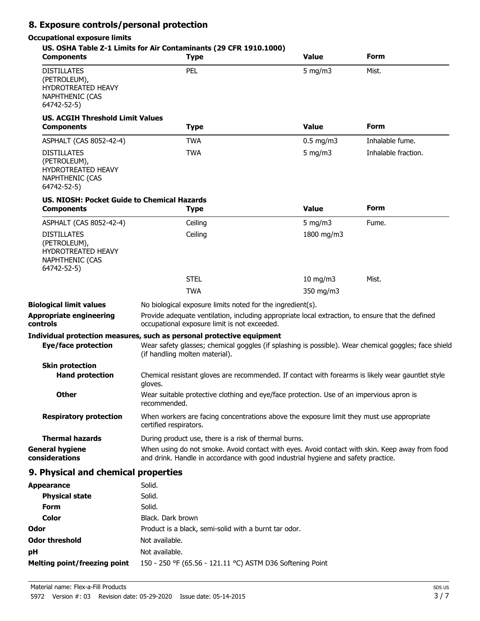## **8. Exposure controls/personal protection**

### **Occupational exposure limits**

| <b>Components</b>                                                                                 | US. OSHA Table Z-1 Limits for Air Contaminants (29 CFR 1910.1000)<br><b>Type</b>                                                                                                                                | <b>Value</b>  | Form                |
|---------------------------------------------------------------------------------------------------|-----------------------------------------------------------------------------------------------------------------------------------------------------------------------------------------------------------------|---------------|---------------------|
| <b>DISTILLATES</b><br>(PETROLEUM),<br>HYDROTREATED HEAVY<br><b>NAPHTHENIC (CAS</b><br>64742-52-5) | PEL                                                                                                                                                                                                             | 5 mg/m $3$    | Mist.               |
| <b>US. ACGIH Threshold Limit Values</b><br><b>Components</b>                                      | <b>Type</b>                                                                                                                                                                                                     | <b>Value</b>  | Form                |
| ASPHALT (CAS 8052-42-4)                                                                           | <b>TWA</b>                                                                                                                                                                                                      | $0.5$ mg/m3   | Inhalable fume.     |
| <b>DISTILLATES</b><br>(PETROLEUM),<br>HYDROTREATED HEAVY<br>NAPHTHENIC (CAS<br>64742-52-5)        | <b>TWA</b>                                                                                                                                                                                                      | 5 mg/m $3$    | Inhalable fraction. |
| <b>US. NIOSH: Pocket Guide to Chemical Hazards</b><br><b>Components</b>                           | <b>Type</b>                                                                                                                                                                                                     | <b>Value</b>  | Form                |
| ASPHALT (CAS 8052-42-4)                                                                           | Ceiling                                                                                                                                                                                                         | 5 mg/m $3$    | Fume.               |
| <b>DISTILLATES</b><br>(PETROLEUM),<br>HYDROTREATED HEAVY<br>NAPHTHENIC (CAS<br>64742-52-5)        | Ceiling                                                                                                                                                                                                         | 1800 mg/m3    |                     |
|                                                                                                   | <b>STEL</b>                                                                                                                                                                                                     | $10$ mg/m $3$ | Mist.               |
|                                                                                                   | <b>TWA</b>                                                                                                                                                                                                      | 350 mg/m3     |                     |
| <b>Biological limit values</b>                                                                    | No biological exposure limits noted for the ingredient(s).                                                                                                                                                      |               |                     |
| <b>Appropriate engineering</b><br>controls                                                        | Provide adequate ventilation, including appropriate local extraction, to ensure that the defined<br>occupational exposure limit is not exceeded.                                                                |               |                     |
| <b>Eye/face protection</b>                                                                        | Individual protection measures, such as personal protective equipment<br>Wear safety glasses; chemical goggles (if splashing is possible). Wear chemical goggles; face shield<br>(if handling molten material). |               |                     |
| <b>Skin protection</b>                                                                            |                                                                                                                                                                                                                 |               |                     |
| <b>Hand protection</b>                                                                            | Chemical resistant gloves are recommended. If contact with forearms is likely wear gauntlet style<br>gloves.                                                                                                    |               |                     |
| <b>Other</b>                                                                                      | Wear suitable protective clothing and eye/face protection. Use of an impervious apron is<br>recommended.                                                                                                        |               |                     |
| <b>Respiratory protection</b>                                                                     | When workers are facing concentrations above the exposure limit they must use appropriate<br>certified respirators.                                                                                             |               |                     |
| <b>Thermal hazards</b>                                                                            | During product use, there is a risk of thermal burns.                                                                                                                                                           |               |                     |
| <b>General hygiene</b><br>considerations                                                          | When using do not smoke. Avoid contact with eyes. Avoid contact with skin. Keep away from food<br>and drink. Handle in accordance with good industrial hygiene and safety practice.                             |               |                     |
| 9. Physical and chemical properties                                                               |                                                                                                                                                                                                                 |               |                     |
| <b>Appearance</b>                                                                                 | Solid.                                                                                                                                                                                                          |               |                     |
| <b>Physical state</b>                                                                             | Solid.                                                                                                                                                                                                          |               |                     |
| <b>Form</b>                                                                                       | Solid.                                                                                                                                                                                                          |               |                     |
| Color                                                                                             | Black. Dark brown                                                                                                                                                                                               |               |                     |
| Odor                                                                                              | Product is a black, semi-solid with a burnt tar odor.                                                                                                                                                           |               |                     |
| <b>Odor threshold</b>                                                                             | Not available.                                                                                                                                                                                                  |               |                     |

**Melting point/freezing point** 150 - 250 °F (65.56 - 121.11 °C) ASTM D36 Softening Point

**pH** Not available.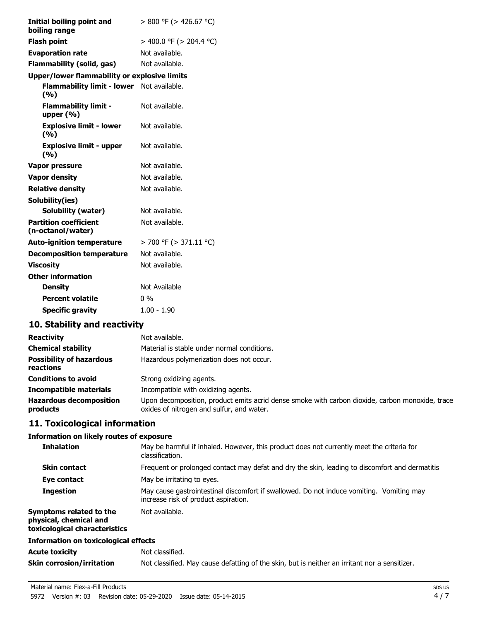| Initial boiling point and<br>boiling range          | $> 800$ °F ( $> 426.67$ °C) |
|-----------------------------------------------------|-----------------------------|
| <b>Flash point</b>                                  | > 400.0 °F (> 204.4 °C)     |
| <b>Evaporation rate</b>                             | Not available.              |
| Flammability (solid, gas)                           | Not available.              |
| <b>Upper/lower flammability or explosive limits</b> |                             |
| <b>Flammability limit - lower</b><br>(%)            | Not available.              |
| <b>Flammability limit -</b><br>upper $(% )$         | Not available.              |
| <b>Explosive limit - lower</b><br>(%)               | Not available.              |
| <b>Explosive limit - upper</b><br>(%)               | Not available.              |
| Vapor pressure                                      | Not available.              |
| <b>Vapor density</b>                                | Not available.              |
| <b>Relative density</b>                             | Not available.              |
| Solubility(ies)                                     |                             |
| <b>Solubility (water)</b>                           | Not available.              |
| <b>Partition coefficient</b><br>(n-octanol/water)   | Not available.              |
| <b>Auto-ignition temperature</b>                    | $>$ 700 °F ( $>$ 371.11 °C) |
| <b>Decomposition temperature</b>                    | Not available.              |
| <b>Viscosity</b>                                    | Not available.              |
| <b>Other information</b>                            |                             |
| <b>Density</b>                                      | Not Available               |
| <b>Percent volatile</b>                             | $0\%$                       |
| <b>Specific gravity</b>                             | $1.00 - 1.90$               |

# **10. Stability and reactivity**

| <b>Reactivity</b>                            | Not available.                                                                                                                               |
|----------------------------------------------|----------------------------------------------------------------------------------------------------------------------------------------------|
| <b>Chemical stability</b>                    | Material is stable under normal conditions.                                                                                                  |
| <b>Possibility of hazardous</b><br>reactions | Hazardous polymerization does not occur.                                                                                                     |
| <b>Conditions to avoid</b>                   | Strong oxidizing agents.                                                                                                                     |
| <b>Incompatible materials</b>                | Incompatible with oxidizing agents.                                                                                                          |
| <b>Hazardous decomposition</b><br>products   | Upon decomposition, product emits acrid dense smoke with carbon dioxide, carbon monoxide, trace<br>oxides of nitrogen and sulfur, and water. |

# **11. Toxicological information**

### **Information on likely routes of exposure**

| <b>Inhalation</b>                                                                  | May be harmful if inhaled. However, this product does not currently meet the criteria for<br>classification.                     |  |
|------------------------------------------------------------------------------------|----------------------------------------------------------------------------------------------------------------------------------|--|
| <b>Skin contact</b>                                                                | Frequent or prolonged contact may defat and dry the skin, leading to discomfort and dermatitis                                   |  |
| Eye contact                                                                        | May be irritating to eyes.                                                                                                       |  |
| <b>Ingestion</b>                                                                   | May cause gastrointestinal discomfort if swallowed. Do not induce vomiting. Vomiting may<br>increase risk of product aspiration. |  |
| Symptoms related to the<br>physical, chemical and<br>toxicological characteristics | Not available.                                                                                                                   |  |
| <b>Information on toxicological effects</b>                                        |                                                                                                                                  |  |
| <b>Acute toxicity</b>                                                              | Not classified.                                                                                                                  |  |
| <b>Skin corrosion/irritation</b>                                                   | Not classified. May cause defatting of the skin, but is neither an irritant nor a sensitizer.                                    |  |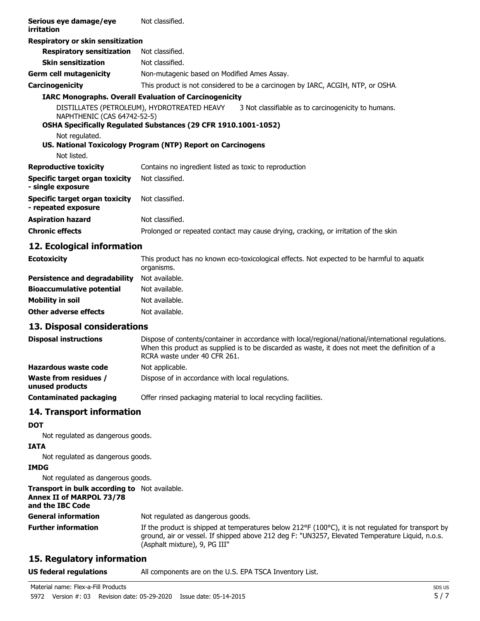| Serious eye damage/eye<br>irritation                  | Not classified.                                                |                                                                                                 |
|-------------------------------------------------------|----------------------------------------------------------------|-------------------------------------------------------------------------------------------------|
| Respiratory or skin sensitization                     |                                                                |                                                                                                 |
| <b>Respiratory sensitization</b>                      | Not classified.                                                |                                                                                                 |
| <b>Skin sensitization</b>                             | Not classified.                                                |                                                                                                 |
| <b>Germ cell mutagenicity</b>                         | Non-mutagenic based on Modified Ames Assay.                    |                                                                                                 |
| Carcinogenicity                                       |                                                                | This product is not considered to be a carcinogen by IARC, ACGIH, NTP, or OSHA.                 |
|                                                       | <b>IARC Monographs. Overall Evaluation of Carcinogenicity</b>  |                                                                                                 |
| NAPHTHENIC (CAS 64742-52-5)                           |                                                                | DISTILLATES (PETROLEUM), HYDROTREATED HEAVY 3 Not classifiable as to carcinogenicity to humans. |
|                                                       | OSHA Specifically Regulated Substances (29 CFR 1910.1001-1052) |                                                                                                 |
| Not regulated.<br>Not listed.                         | US. National Toxicology Program (NTP) Report on Carcinogens    |                                                                                                 |
| <b>Reproductive toxicity</b>                          | Contains no ingredient listed as toxic to reproduction         |                                                                                                 |
| Specific target organ toxicity<br>- single exposure   | Not classified.                                                |                                                                                                 |
| Specific target organ toxicity<br>- repeated exposure | Not classified.                                                |                                                                                                 |
| <b>Aspiration hazard</b>                              | Not classified.                                                |                                                                                                 |
| <b>Chronic effects</b>                                |                                                                | Prolonged or repeated contact may cause drying, cracking, or irritation of the skin             |
|                                                       |                                                                |                                                                                                 |

### **12. Ecological information**

| <b>Ecotoxicity</b>                   | This product has no known eco-toxicological effects. Not expected to be harmful to aquation<br>organisms. |
|--------------------------------------|-----------------------------------------------------------------------------------------------------------|
| <b>Persistence and degradability</b> | Not available.                                                                                            |
| <b>Bioaccumulative potential</b>     | Not available.                                                                                            |
| <b>Mobility in soil</b>              | Not available.                                                                                            |
| <b>Other adverse effects</b>         | Not available.                                                                                            |

### **13. Disposal considerations**

| <b>Disposal instructions</b>             | Dispose of contents/container in accordance with local/regional/national/international regulations.<br>When this product as supplied is to be discarded as waste, it does not meet the definition of a<br>RCRA waste under 40 CFR 261. |
|------------------------------------------|----------------------------------------------------------------------------------------------------------------------------------------------------------------------------------------------------------------------------------------|
| Hazardous waste code                     | Not applicable.                                                                                                                                                                                                                        |
| Waste from residues /<br>unused products | Dispose of in accordance with local regulations.                                                                                                                                                                                       |
| <b>Contaminated packaging</b>            | Offer rinsed packaging material to local recycling facilities.                                                                                                                                                                         |

### **14. Transport information**

#### **DOT**

Not regulated as dangerous goods.

### **IATA**

Not regulated as dangerous goods.

#### **IMDG**

Not regulated as dangerous goods.

#### **Transport in bulk according to** Not available. **Annex II of MARPOL 73/78**

#### **and the IBC Code**

| <b>General information</b> | Not regulated as dangerous goods.                                                                                                                                                                                                         |
|----------------------------|-------------------------------------------------------------------------------------------------------------------------------------------------------------------------------------------------------------------------------------------|
| <b>Further information</b> | If the product is shipped at temperatures below 212 °F (100 °C), it is not regulated for transport by<br>ground, air or vessel. If shipped above 212 deg F: "UN3257, Elevated Temperature Liquid, n.o.s.<br>(Asphalt mixture), 9, PG III" |

## **15. Regulatory information**

### **US federal regulations** All components are on the U.S. EPA TSCA Inventory List.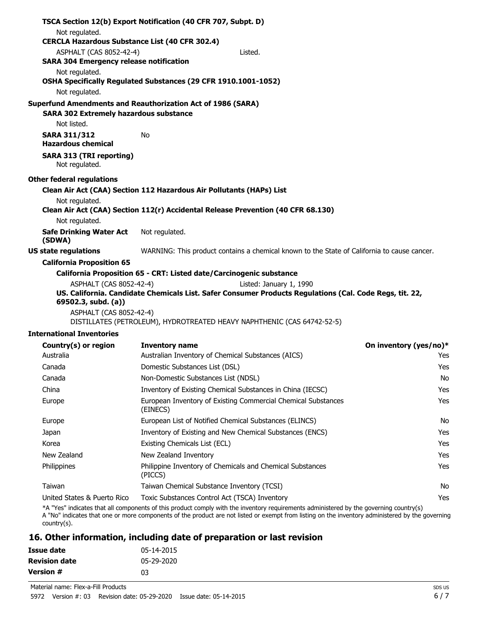|                                                                           | TSCA Section 12(b) Export Notification (40 CFR 707, Subpt. D)                                                                      |                        |
|---------------------------------------------------------------------------|------------------------------------------------------------------------------------------------------------------------------------|------------------------|
| Not regulated.                                                            |                                                                                                                                    |                        |
| <b>CERCLA Hazardous Substance List (40 CFR 302.4)</b>                     |                                                                                                                                    |                        |
| ASPHALT (CAS 8052-42-4)<br><b>SARA 304 Emergency release notification</b> | Listed.                                                                                                                            |                        |
| Not regulated.                                                            |                                                                                                                                    |                        |
|                                                                           | OSHA Specifically Regulated Substances (29 CFR 1910.1001-1052)                                                                     |                        |
| Not regulated.                                                            |                                                                                                                                    |                        |
|                                                                           | Superfund Amendments and Reauthorization Act of 1986 (SARA)                                                                        |                        |
| <b>SARA 302 Extremely hazardous substance</b>                             |                                                                                                                                    |                        |
| Not listed.                                                               |                                                                                                                                    |                        |
| <b>SARA 311/312</b><br><b>Hazardous chemical</b>                          | No                                                                                                                                 |                        |
| <b>SARA 313 (TRI reporting)</b><br>Not regulated.                         |                                                                                                                                    |                        |
| Other federal regulations                                                 |                                                                                                                                    |                        |
|                                                                           | Clean Air Act (CAA) Section 112 Hazardous Air Pollutants (HAPs) List                                                               |                        |
| Not regulated.                                                            |                                                                                                                                    |                        |
|                                                                           | Clean Air Act (CAA) Section 112(r) Accidental Release Prevention (40 CFR 68.130)                                                   |                        |
| Not regulated.                                                            |                                                                                                                                    |                        |
| <b>Safe Drinking Water Act</b><br>(SDWA)                                  | Not regulated.                                                                                                                     |                        |
| <b>US state regulations</b>                                               | WARNING: This product contains a chemical known to the State of California to cause cancer.                                        |                        |
| <b>California Proposition 65</b>                                          |                                                                                                                                    |                        |
|                                                                           | California Proposition 65 - CRT: Listed date/Carcinogenic substance                                                                |                        |
| ASPHALT (CAS 8052-42-4)                                                   | Listed: January 1, 1990<br>US. California. Candidate Chemicals List. Safer Consumer Products Regulations (Cal. Code Regs, tit. 22, |                        |
| 69502.3, subd. (a))                                                       |                                                                                                                                    |                        |
| ASPHALT (CAS 8052-42-4)                                                   | DISTILLATES (PETROLEUM), HYDROTREATED HEAVY NAPHTHENIC (CAS 64742-52-5)                                                            |                        |
| <b>International Inventories</b>                                          |                                                                                                                                    |                        |
| Country(s) or region                                                      | <b>Inventory name</b>                                                                                                              | On inventory (yes/no)* |
| Australia                                                                 | Australian Inventory of Chemical Substances (AICS)                                                                                 | Yes                    |
| Canada                                                                    | Domestic Substances List (DSL)                                                                                                     | Yes                    |
| Canada                                                                    | Non-Domestic Substances List (NDSL)                                                                                                | No                     |
| China                                                                     | Inventory of Existing Chemical Substances in China (IECSC)                                                                         | Yes                    |
| Europe                                                                    | European Inventory of Existing Commercial Chemical Substances<br>(EINECS)                                                          | Yes                    |

| Korea                       | Existing Chemicals List (ECL)                                                                                                                                                                                                                                                              | Yes |
|-----------------------------|--------------------------------------------------------------------------------------------------------------------------------------------------------------------------------------------------------------------------------------------------------------------------------------------|-----|
| New Zealand                 | New Zealand Inventory                                                                                                                                                                                                                                                                      | Yes |
| Philippines                 | Philippine Inventory of Chemicals and Chemical Substances<br>(PICCS)                                                                                                                                                                                                                       | Yes |
| Taiwan                      | Taiwan Chemical Substance Inventory (TCSI)                                                                                                                                                                                                                                                 | Nο  |
| United States & Puerto Rico | Toxic Substances Control Act (TSCA) Inventory                                                                                                                                                                                                                                              | Yes |
|                             | *A "Yes" indicates that all components of this product comply with the inventory requirements administered by the governing country(s)<br>A "No" indicates that one or more components of the product are not listed or exempt from listing on the inventory administered by the governing |     |

Europe **European List of Notified Chemical Substances (ELINCS)** No Japan Inventory of Existing and New Chemical Substances (ENCS) The Mass of the Mes

that one or more components of the product are not listed or exempt from listing on the inventory administered by the governing country(s).

# **16. Other information, including date of preparation or last revision**

| Issue date           | 05-14-2015 |
|----------------------|------------|
| <b>Revision date</b> | 05-29-2020 |
| Version #            | n٦         |